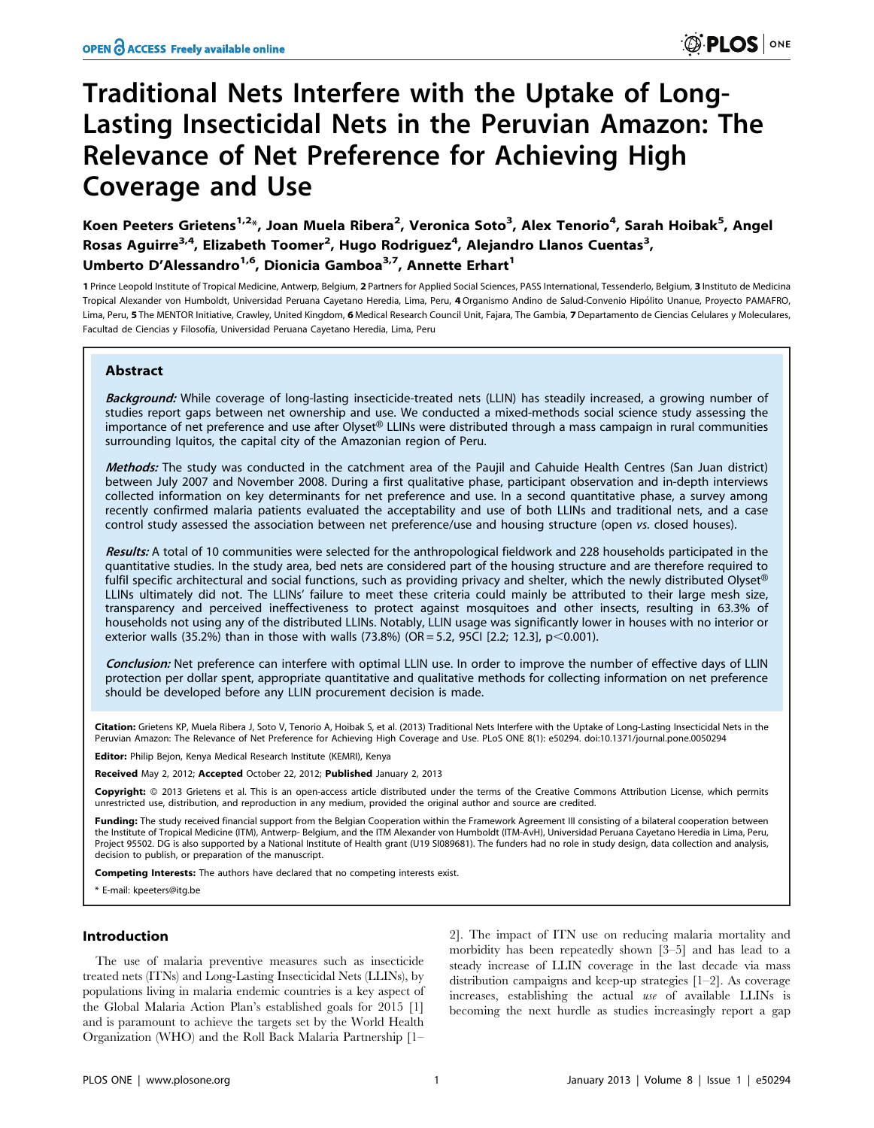# Traditional Nets Interfere with the Uptake of Long-Lasting Insecticidal Nets in the Peruvian Amazon: The Relevance of Net Preference for Achieving High Coverage and Use

Koen Peeters Grietens<sup>1,2</sup>\*, Joan Muela Ribera<sup>2</sup>, Veronica Soto<sup>3</sup>, Alex Tenorio<sup>4</sup>, Sarah Hoibak<sup>5</sup>, Angel Rosas Aguirre<sup>3,4</sup>, Elizabeth Toomer<sup>2</sup>, Hugo Rodriguez<sup>4</sup>, Alejandro Llanos Cuentas<sup>3</sup>, Umberto D'Alessandro<sup>1,6</sup>, Dionicia Gamboa<sup>3,7</sup>, Annette Erhart<sup>1</sup>

1 Prince Leopold Institute of Tropical Medicine, Antwerp, Belgium, 2 Partners for Applied Social Sciences, PASS International, Tessenderlo, Belgium, 3 Instituto de Medicina Tropical Alexander von Humboldt, Universidad Peruana Cayetano Heredia, Lima, Peru, 4 Organismo Andino de Salud-Convenio Hipólito Unanue, Proyecto PAMAFRO, Lima, Peru, 5 The MENTOR Initiative, Crawley, United Kingdom, 6 Medical Research Council Unit, Fajara, The Gambia, 7 Departamento de Ciencias Celulares y Moleculares, Facultad de Ciencias y Filosofía, Universidad Peruana Cayetano Heredia, Lima, Peru

# Abstract

Background: While coverage of long-lasting insecticide-treated nets (LLIN) has steadily increased, a growing number of studies report gaps between net ownership and use. We conducted a mixed-methods social science study assessing the importance of net preference and use after Olyset® LLINs were distributed through a mass campaign in rural communities surrounding Iquitos, the capital city of the Amazonian region of Peru.

Methods: The study was conducted in the catchment area of the Paujil and Cahuide Health Centres (San Juan district) between July 2007 and November 2008. During a first qualitative phase, participant observation and in-depth interviews collected information on key determinants for net preference and use. In a second quantitative phase, a survey among recently confirmed malaria patients evaluated the acceptability and use of both LLINs and traditional nets, and a case control study assessed the association between net preference/use and housing structure (open vs. closed houses).

Results: A total of 10 communities were selected for the anthropological fieldwork and 228 households participated in the quantitative studies. In the study area, bed nets are considered part of the housing structure and are therefore required to fulfil specific architectural and social functions, such as providing privacy and shelter, which the newly distributed Olyset® LLINs ultimately did not. The LLINs' failure to meet these criteria could mainly be attributed to their large mesh size, transparency and perceived ineffectiveness to protect against mosquitoes and other insects, resulting in 63.3% of households not using any of the distributed LLINs. Notably, LLIN usage was significantly lower in houses with no interior or exterior walls (35.2%) than in those with walls (73.8%) (OR = 5.2, 95CI [2.2; 12.3], p<0.001).

Conclusion: Net preference can interfere with optimal LLIN use. In order to improve the number of effective days of LLIN protection per dollar spent, appropriate quantitative and qualitative methods for collecting information on net preference should be developed before any LLIN procurement decision is made.

Citation: Grietens KP, Muela Ribera J, Soto V, Tenorio A, Hoibak S, et al. (2013) Traditional Nets Interfere with the Uptake of Long-Lasting Insecticidal Nets in the Peruvian Amazon: The Relevance of Net Preference for Achieving High Coverage and Use. PLoS ONE 8(1): e50294. doi:10.1371/journal.pone.0050294

Editor: Philip Bejon, Kenya Medical Research Institute (KEMRI), Kenya

Received May 2, 2012; Accepted October 22, 2012; Published January 2, 2013

Copyright: © 2013 Grietens et al. This is an open-access article distributed under the terms of the Creative Commons Attribution License, which permits unrestricted use, distribution, and reproduction in any medium, provided the original author and source are credited.

Funding: The study received financial support from the Belgian Cooperation within the Framework Agreement III consisting of a bilateral cooperation between the Institute of Tropical Medicine (ITM), Antwerp- Belgium, and the ITM Alexander von Humboldt (ITM-AvH), Universidad Peruana Cayetano Heredia in Lima, Peru,<br>Project 95502. DG is also supported by a National Institute of H decision to publish, or preparation of the manuscript.

Competing Interests: The authors have declared that no competing interests exist.

\* E-mail: kpeeters@itg.be

## Introduction

The use of malaria preventive measures such as insecticide treated nets (ITNs) and Long-Lasting Insecticidal Nets (LLINs), by populations living in malaria endemic countries is a key aspect of the Global Malaria Action Plan's established goals for 2015 [1] and is paramount to achieve the targets set by the World Health Organization (WHO) and the Roll Back Malaria Partnership [1–

2]. The impact of ITN use on reducing malaria mortality and morbidity has been repeatedly shown [3–5] and has lead to a steady increase of LLIN coverage in the last decade via mass distribution campaigns and keep-up strategies [1–2]. As coverage increases, establishing the actual use of available LLINs is becoming the next hurdle as studies increasingly report a gap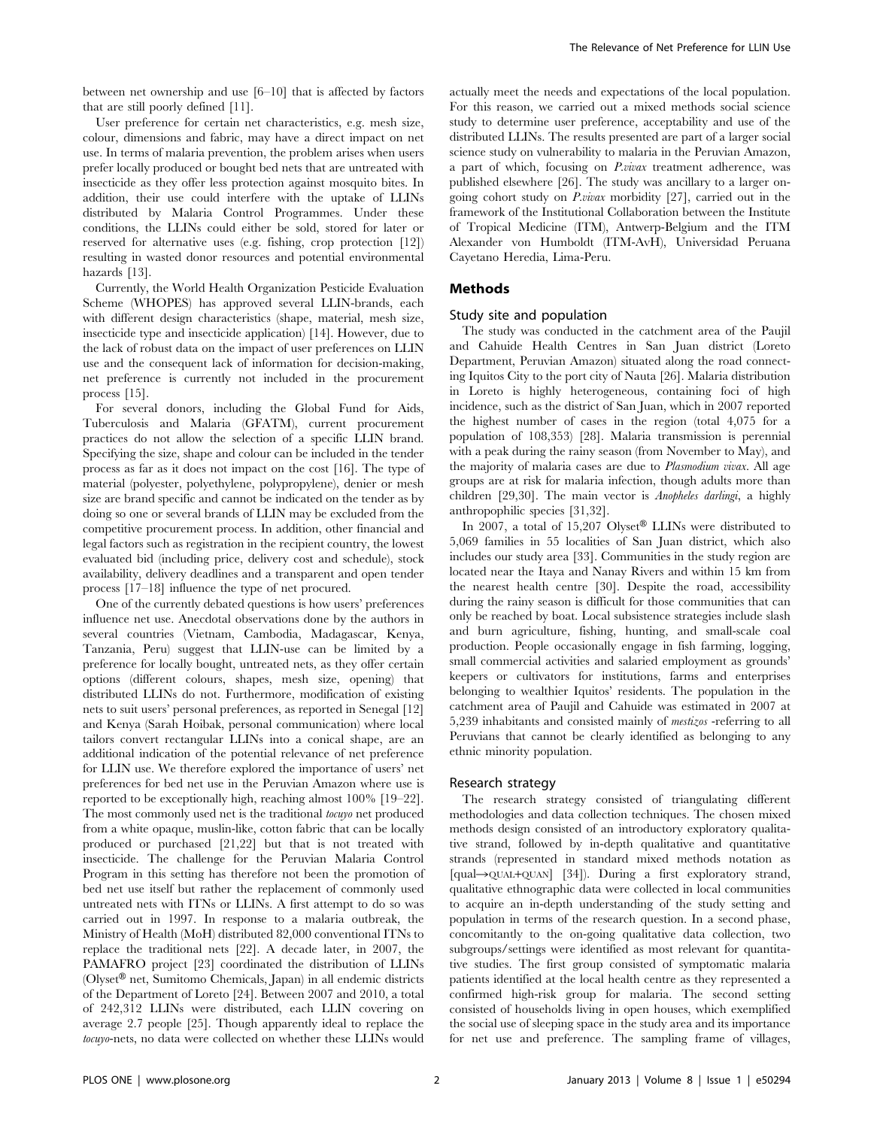between net ownership and use [6–10] that is affected by factors that are still poorly defined [11].

User preference for certain net characteristics, e.g. mesh size, colour, dimensions and fabric, may have a direct impact on net use. In terms of malaria prevention, the problem arises when users prefer locally produced or bought bed nets that are untreated with insecticide as they offer less protection against mosquito bites. In addition, their use could interfere with the uptake of LLINs distributed by Malaria Control Programmes. Under these conditions, the LLINs could either be sold, stored for later or reserved for alternative uses (e.g. fishing, crop protection [12]) resulting in wasted donor resources and potential environmental hazards [13].

Currently, the World Health Organization Pesticide Evaluation Scheme (WHOPES) has approved several LLIN-brands, each with different design characteristics (shape, material, mesh size, insecticide type and insecticide application) [14]. However, due to the lack of robust data on the impact of user preferences on LLIN use and the consequent lack of information for decision-making, net preference is currently not included in the procurement process [15].

For several donors, including the Global Fund for Aids, Tuberculosis and Malaria (GFATM), current procurement practices do not allow the selection of a specific LLIN brand. Specifying the size, shape and colour can be included in the tender process as far as it does not impact on the cost [16]. The type of material (polyester, polyethylene, polypropylene), denier or mesh size are brand specific and cannot be indicated on the tender as by doing so one or several brands of LLIN may be excluded from the competitive procurement process. In addition, other financial and legal factors such as registration in the recipient country, the lowest evaluated bid (including price, delivery cost and schedule), stock availability, delivery deadlines and a transparent and open tender process [17–18] influence the type of net procured.

One of the currently debated questions is how users' preferences influence net use. Anecdotal observations done by the authors in several countries (Vietnam, Cambodia, Madagascar, Kenya, Tanzania, Peru) suggest that LLIN-use can be limited by a preference for locally bought, untreated nets, as they offer certain options (different colours, shapes, mesh size, opening) that distributed LLINs do not. Furthermore, modification of existing nets to suit users' personal preferences, as reported in Senegal [12] and Kenya (Sarah Hoibak, personal communication) where local tailors convert rectangular LLINs into a conical shape, are an additional indication of the potential relevance of net preference for LLIN use. We therefore explored the importance of users' net preferences for bed net use in the Peruvian Amazon where use is reported to be exceptionally high, reaching almost 100% [19–22]. The most commonly used net is the traditional *tocuyo* net produced from a white opaque, muslin-like, cotton fabric that can be locally produced or purchased [21,22] but that is not treated with insecticide. The challenge for the Peruvian Malaria Control Program in this setting has therefore not been the promotion of bed net use itself but rather the replacement of commonly used untreated nets with ITNs or LLINs. A first attempt to do so was carried out in 1997. In response to a malaria outbreak, the Ministry of Health (MoH) distributed 82,000 conventional ITNs to replace the traditional nets [22]. A decade later, in 2007, the PAMAFRO project [23] coordinated the distribution of LLINs (Olyset® net, Sumitomo Chemicals, Japan) in all endemic districts of the Department of Loreto [24]. Between 2007 and 2010, a total of 242,312 LLINs were distributed, each LLIN covering on average 2.7 people [25]. Though apparently ideal to replace the tocuyo-nets, no data were collected on whether these LLINs would actually meet the needs and expectations of the local population. For this reason, we carried out a mixed methods social science study to determine user preference, acceptability and use of the distributed LLINs. The results presented are part of a larger social science study on vulnerability to malaria in the Peruvian Amazon, a part of which, focusing on P.vivax treatment adherence, was published elsewhere [26]. The study was ancillary to a larger ongoing cohort study on P.vivax morbidity [27], carried out in the framework of the Institutional Collaboration between the Institute of Tropical Medicine (ITM), Antwerp-Belgium and the ITM Alexander von Humboldt (ITM-AvH), Universidad Peruana Cayetano Heredia, Lima-Peru.

## Methods

## Study site and population

The study was conducted in the catchment area of the Paujil and Cahuide Health Centres in San Juan district (Loreto Department, Peruvian Amazon) situated along the road connecting Iquitos City to the port city of Nauta [26]. Malaria distribution in Loreto is highly heterogeneous, containing foci of high incidence, such as the district of San Juan, which in 2007 reported the highest number of cases in the region (total 4,075 for a population of 108,353) [28]. Malaria transmission is perennial with a peak during the rainy season (from November to May), and the majority of malaria cases are due to Plasmodium vivax. All age groups are at risk for malaria infection, though adults more than children [29,30]. The main vector is Anopheles darlingi, a highly anthropophilic species [31,32].

In 2007, a total of 15,207 Olyset<sup>®</sup> LLINs were distributed to 5,069 families in 55 localities of San Juan district, which also includes our study area [33]. Communities in the study region are located near the Itaya and Nanay Rivers and within 15 km from the nearest health centre [30]. Despite the road, accessibility during the rainy season is difficult for those communities that can only be reached by boat. Local subsistence strategies include slash and burn agriculture, fishing, hunting, and small-scale coal production. People occasionally engage in fish farming, logging, small commercial activities and salaried employment as grounds' keepers or cultivators for institutions, farms and enterprises belonging to wealthier Iquitos' residents. The population in the catchment area of Paujil and Cahuide was estimated in 2007 at 5,239 inhabitants and consisted mainly of mestizos -referring to all Peruvians that cannot be clearly identified as belonging to any ethnic minority population.

## Research strategy

The research strategy consisted of triangulating different methodologies and data collection techniques. The chosen mixed methods design consisted of an introductory exploratory qualitative strand, followed by in-depth qualitative and quantitative strands (represented in standard mixed methods notation as  $[qual\rightarrow QUAL+QUAN]$  [34]). During a first exploratory strand, qualitative ethnographic data were collected in local communities to acquire an in-depth understanding of the study setting and population in terms of the research question. In a second phase, concomitantly to the on-going qualitative data collection, two subgroups/settings were identified as most relevant for quantitative studies. The first group consisted of symptomatic malaria patients identified at the local health centre as they represented a confirmed high-risk group for malaria. The second setting consisted of households living in open houses, which exemplified the social use of sleeping space in the study area and its importance for net use and preference. The sampling frame of villages,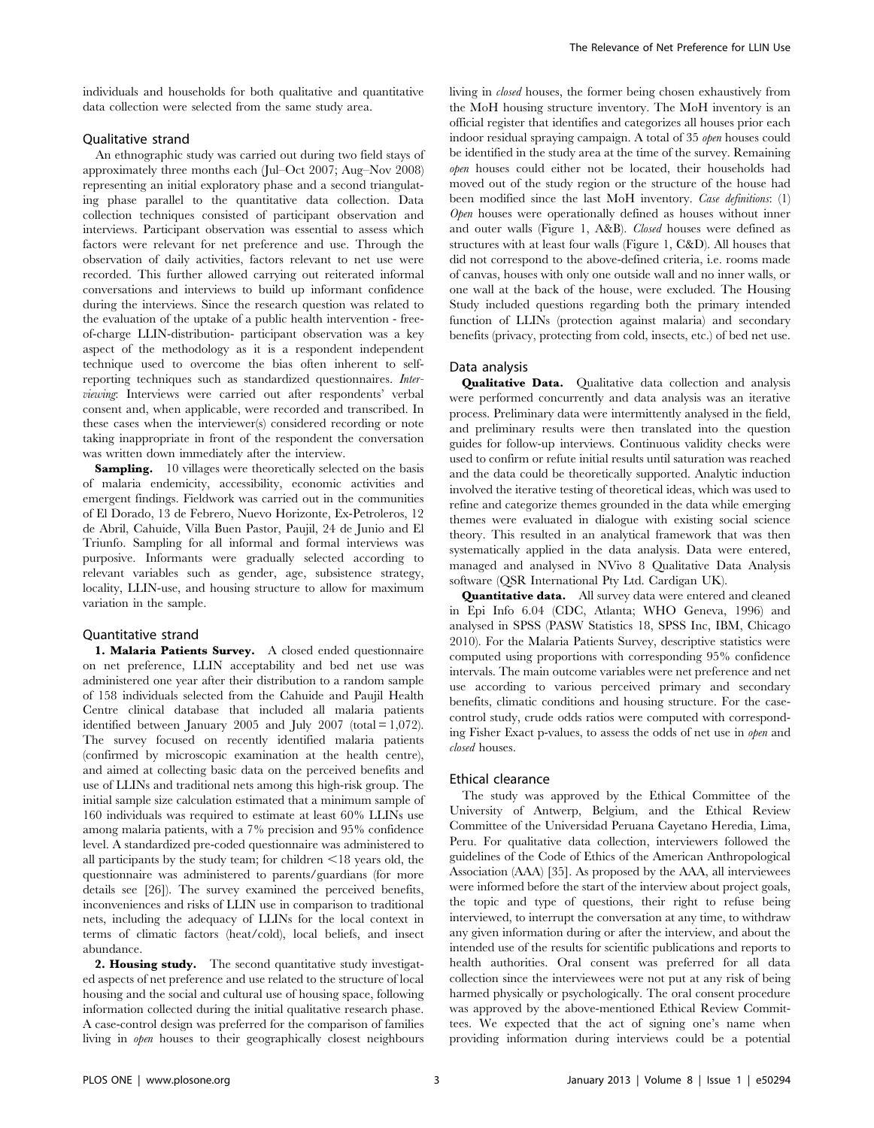individuals and households for both qualitative and quantitative data collection were selected from the same study area.

# Qualitative strand

An ethnographic study was carried out during two field stays of approximately three months each (Jul–Oct 2007; Aug–Nov 2008) representing an initial exploratory phase and a second triangulating phase parallel to the quantitative data collection. Data collection techniques consisted of participant observation and interviews. Participant observation was essential to assess which factors were relevant for net preference and use. Through the observation of daily activities, factors relevant to net use were recorded. This further allowed carrying out reiterated informal conversations and interviews to build up informant confidence during the interviews. Since the research question was related to the evaluation of the uptake of a public health intervention - freeof-charge LLIN-distribution- participant observation was a key aspect of the methodology as it is a respondent independent technique used to overcome the bias often inherent to selfreporting techniques such as standardized questionnaires. Interviewing: Interviews were carried out after respondents' verbal consent and, when applicable, were recorded and transcribed. In these cases when the interviewer(s) considered recording or note taking inappropriate in front of the respondent the conversation was written down immediately after the interview.

**Sampling.** 10 villages were theoretically selected on the basis of malaria endemicity, accessibility, economic activities and emergent findings. Fieldwork was carried out in the communities of El Dorado, 13 de Febrero, Nuevo Horizonte, Ex-Petroleros, 12 de Abril, Cahuide, Villa Buen Pastor, Paujil, 24 de Junio and El Triunfo. Sampling for all informal and formal interviews was purposive. Informants were gradually selected according to relevant variables such as gender, age, subsistence strategy, locality, LLIN-use, and housing structure to allow for maximum variation in the sample.

#### Quantitative strand

1. Malaria Patients Survey. A closed ended questionnaire on net preference, LLIN acceptability and bed net use was administered one year after their distribution to a random sample of 158 individuals selected from the Cahuide and Paujil Health Centre clinical database that included all malaria patients identified between January 2005 and July 2007 (total  $= 1,072$ ). The survey focused on recently identified malaria patients (confirmed by microscopic examination at the health centre), and aimed at collecting basic data on the perceived benefits and use of LLINs and traditional nets among this high-risk group. The initial sample size calculation estimated that a minimum sample of 160 individuals was required to estimate at least 60% LLINs use among malaria patients, with a 7% precision and 95% confidence level. A standardized pre-coded questionnaire was administered to all participants by the study team; for children  $\leq 18$  years old, the questionnaire was administered to parents/guardians (for more details see [26]). The survey examined the perceived benefits, inconveniences and risks of LLIN use in comparison to traditional nets, including the adequacy of LLINs for the local context in terms of climatic factors (heat/cold), local beliefs, and insect abundance.

2. Housing study. The second quantitative study investigated aspects of net preference and use related to the structure of local housing and the social and cultural use of housing space, following information collected during the initial qualitative research phase. A case-control design was preferred for the comparison of families living in open houses to their geographically closest neighbours living in closed houses, the former being chosen exhaustively from the MoH housing structure inventory. The MoH inventory is an official register that identifies and categorizes all houses prior each indoor residual spraying campaign. A total of 35 open houses could be identified in the study area at the time of the survey. Remaining open houses could either not be located, their households had moved out of the study region or the structure of the house had been modified since the last MoH inventory. Case definitions: (1) Open houses were operationally defined as houses without inner and outer walls (Figure 1, A&B). Closed houses were defined as structures with at least four walls (Figure 1, C&D). All houses that did not correspond to the above-defined criteria, i.e. rooms made of canvas, houses with only one outside wall and no inner walls, or one wall at the back of the house, were excluded. The Housing Study included questions regarding both the primary intended function of LLINs (protection against malaria) and secondary benefits (privacy, protecting from cold, insects, etc.) of bed net use.

## Data analysis

**Qualitative Data.** Qualitative data collection and analysis were performed concurrently and data analysis was an iterative process. Preliminary data were intermittently analysed in the field, and preliminary results were then translated into the question guides for follow-up interviews. Continuous validity checks were used to confirm or refute initial results until saturation was reached and the data could be theoretically supported. Analytic induction involved the iterative testing of theoretical ideas, which was used to refine and categorize themes grounded in the data while emerging themes were evaluated in dialogue with existing social science theory. This resulted in an analytical framework that was then systematically applied in the data analysis. Data were entered, managed and analysed in NVivo 8 Qualitative Data Analysis software (QSR International Pty Ltd. Cardigan UK).

Quantitative data. All survey data were entered and cleaned in Epi Info 6.04 (CDC, Atlanta; WHO Geneva, 1996) and analysed in SPSS (PASW Statistics 18, SPSS Inc, IBM, Chicago 2010). For the Malaria Patients Survey, descriptive statistics were computed using proportions with corresponding 95% confidence intervals. The main outcome variables were net preference and net use according to various perceived primary and secondary benefits, climatic conditions and housing structure. For the casecontrol study, crude odds ratios were computed with corresponding Fisher Exact p-values, to assess the odds of net use in open and closed houses.

#### Ethical clearance

The study was approved by the Ethical Committee of the University of Antwerp, Belgium, and the Ethical Review Committee of the Universidad Peruana Cayetano Heredia, Lima, Peru. For qualitative data collection, interviewers followed the guidelines of the Code of Ethics of the American Anthropological Association (AAA) [35]. As proposed by the AAA, all interviewees were informed before the start of the interview about project goals, the topic and type of questions, their right to refuse being interviewed, to interrupt the conversation at any time, to withdraw any given information during or after the interview, and about the intended use of the results for scientific publications and reports to health authorities. Oral consent was preferred for all data collection since the interviewees were not put at any risk of being harmed physically or psychologically. The oral consent procedure was approved by the above-mentioned Ethical Review Committees. We expected that the act of signing one's name when providing information during interviews could be a potential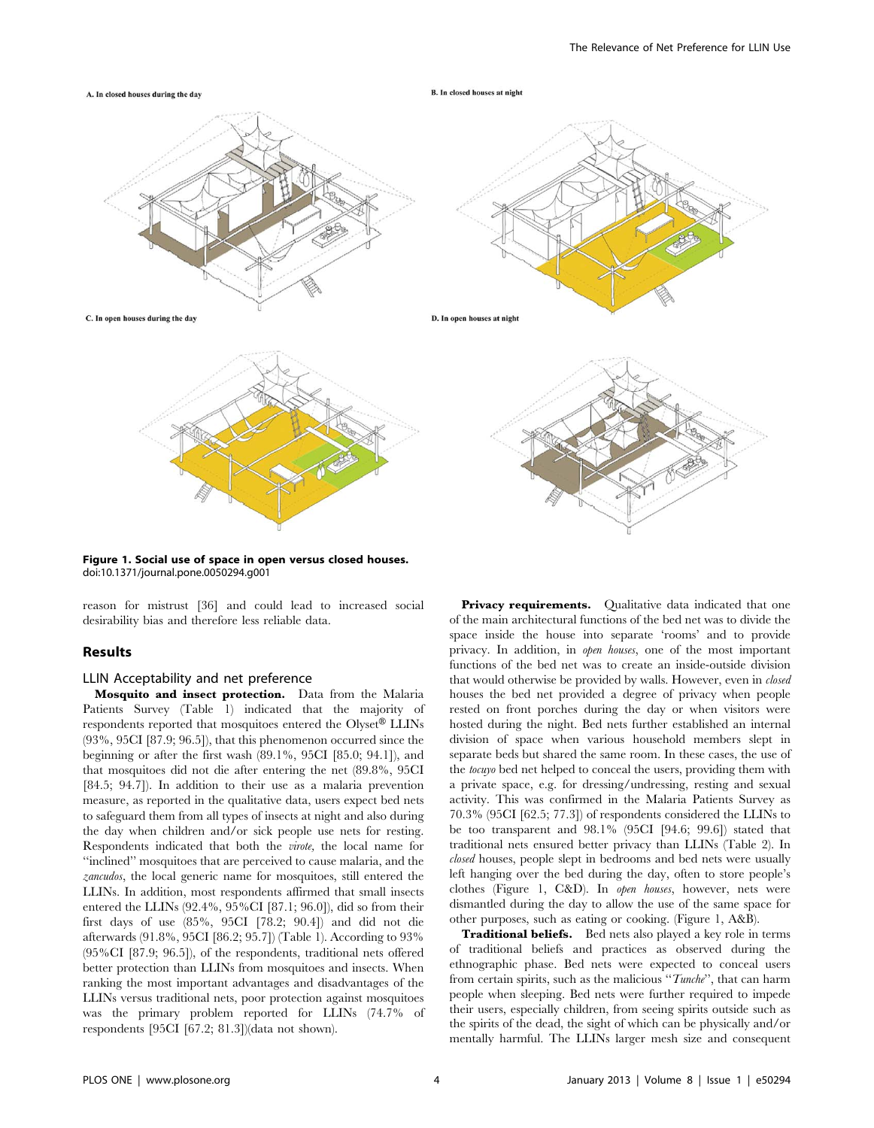



Figure 1. Social use of space in open versus closed houses. doi:10.1371/journal.pone.0050294.g001

reason for mistrust [36] and could lead to increased social desirability bias and therefore less reliable data.

# Results

#### LLIN Acceptability and net preference

Mosquito and insect protection. Data from the Malaria Patients Survey (Table 1) indicated that the majority of respondents reported that mosquitoes entered the Olyset<sup>®</sup> LLINs (93%, 95CI [87.9; 96.5]), that this phenomenon occurred since the beginning or after the first wash (89.1%, 95CI [85.0; 94.1]), and that mosquitoes did not die after entering the net (89.8%, 95CI [84.5; 94.7]). In addition to their use as a malaria prevention measure, as reported in the qualitative data, users expect bed nets to safeguard them from all types of insects at night and also during the day when children and/or sick people use nets for resting. Respondents indicated that both the virote, the local name for ''inclined'' mosquitoes that are perceived to cause malaria, and the zancudos, the local generic name for mosquitoes, still entered the LLINs. In addition, most respondents affirmed that small insects entered the LLINs (92.4%, 95%CI [87.1; 96.0]), did so from their first days of use (85%, 95CI [78.2; 90.4]) and did not die afterwards (91.8%, 95CI [86.2; 95.7]) (Table 1). According to 93% (95%CI [87.9; 96.5]), of the respondents, traditional nets offered better protection than LLINs from mosquitoes and insects. When ranking the most important advantages and disadvantages of the LLINs versus traditional nets, poor protection against mosquitoes was the primary problem reported for LLINs (74.7% of respondents [95CI [67.2; 81.3])(data not shown).

Privacy requirements. Qualitative data indicated that one of the main architectural functions of the bed net was to divide the space inside the house into separate 'rooms' and to provide privacy. In addition, in open houses, one of the most important functions of the bed net was to create an inside-outside division that would otherwise be provided by walls. However, even in *closed* houses the bed net provided a degree of privacy when people rested on front porches during the day or when visitors were hosted during the night. Bed nets further established an internal division of space when various household members slept in separate beds but shared the same room. In these cases, the use of the tocuyo bed net helped to conceal the users, providing them with a private space, e.g. for dressing/undressing, resting and sexual activity. This was confirmed in the Malaria Patients Survey as 70.3% (95CI [62.5; 77.3]) of respondents considered the LLINs to be too transparent and 98.1% (95CI [94.6; 99.6]) stated that traditional nets ensured better privacy than LLINs (Table 2). In closed houses, people slept in bedrooms and bed nets were usually left hanging over the bed during the day, often to store people's clothes (Figure 1, C&D). In open houses, however, nets were dismantled during the day to allow the use of the same space for other purposes, such as eating or cooking. (Figure 1, A&B).

Traditional beliefs. Bed nets also played a key role in terms of traditional beliefs and practices as observed during the ethnographic phase. Bed nets were expected to conceal users from certain spirits, such as the malicious "Tunche", that can harm people when sleeping. Bed nets were further required to impede their users, especially children, from seeing spirits outside such as the spirits of the dead, the sight of which can be physically and/or mentally harmful. The LLINs larger mesh size and consequent

D. In open houses at night

**B.** In closed houses at night

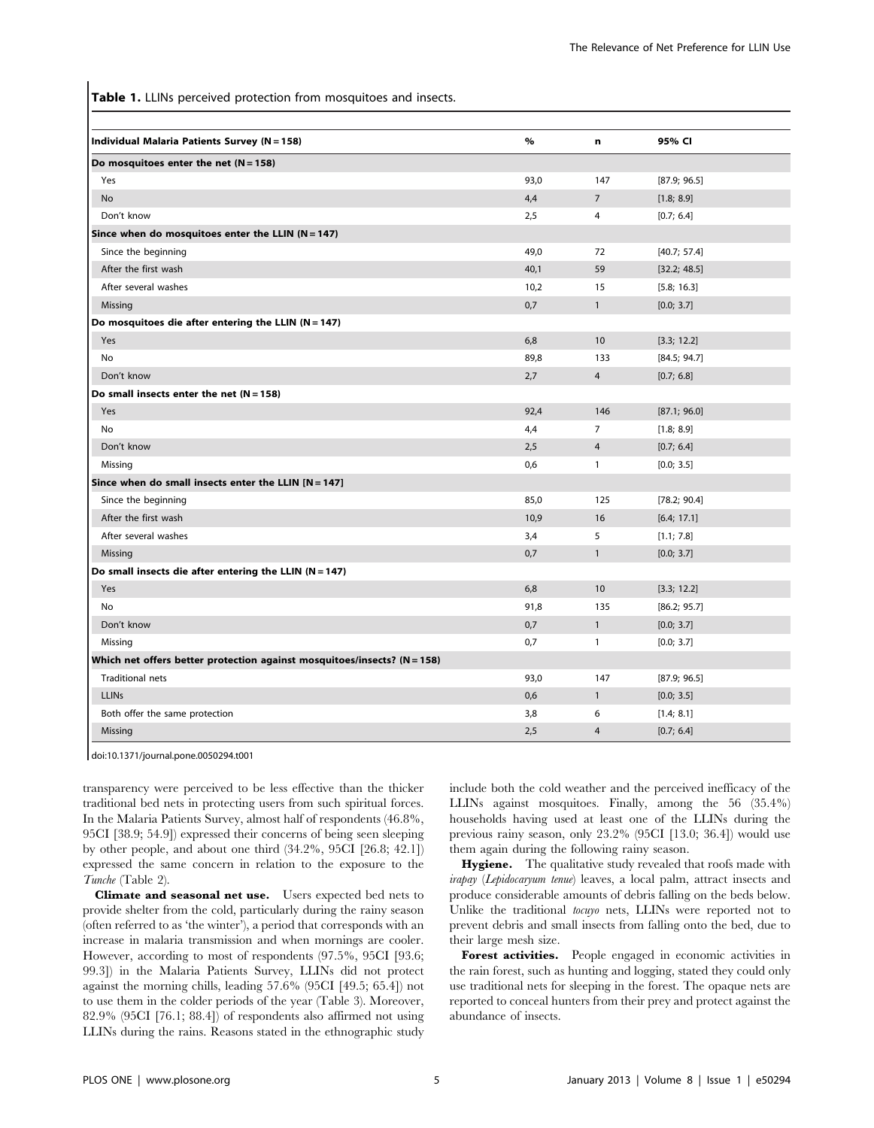Table 1. LLINs perceived protection from mosquitoes and insects.

| Individual Malaria Patients Survey (N = 158)                               | $\%$ | n              | 95% CI       |  |  |  |
|----------------------------------------------------------------------------|------|----------------|--------------|--|--|--|
| Do mosquitoes enter the net $(N = 158)$                                    |      |                |              |  |  |  |
| Yes                                                                        | 93,0 | 147            | [87.9; 96.5] |  |  |  |
| No                                                                         | 4,4  | $\overline{7}$ | [1.8; 8.9]   |  |  |  |
| Don't know                                                                 | 2,5  | $\overline{4}$ | [0.7; 6.4]   |  |  |  |
| Since when do mosquitoes enter the LLIN $(N = 147)$                        |      |                |              |  |  |  |
| Since the beginning                                                        | 49,0 | 72             | [40.7; 57.4] |  |  |  |
| After the first wash                                                       | 40,1 | 59             | [32.2; 48.5] |  |  |  |
| After several washes                                                       | 10,2 | 15             | [5.8; 16.3]  |  |  |  |
| Missing                                                                    | 0,7  | $\mathbf{1}$   | [0.0; 3.7]   |  |  |  |
| Do mosquitoes die after entering the LLIN ( $N = 147$ )                    |      |                |              |  |  |  |
| Yes                                                                        | 6,8  | 10             | [3.3; 12.2]  |  |  |  |
| No                                                                         | 89,8 | 133            | [84.5; 94.7] |  |  |  |
| Don't know                                                                 | 2,7  | $\overline{4}$ | [0.7; 6.8]   |  |  |  |
| Do small insects enter the net $(N = 158)$                                 |      |                |              |  |  |  |
| Yes                                                                        | 92,4 | 146            | [87.1; 96.0] |  |  |  |
| <b>No</b>                                                                  | 4,4  | $\overline{7}$ | [1.8; 8.9]   |  |  |  |
| Don't know                                                                 | 2,5  | $\overline{4}$ | [0.7; 6.4]   |  |  |  |
| Missing                                                                    | 0,6  | $\mathbf{1}$   | [0.0; 3.5]   |  |  |  |
| Since when do small insects enter the LLIN $[N = 147]$                     |      |                |              |  |  |  |
| Since the beginning                                                        | 85,0 | 125            | [78.2; 90.4] |  |  |  |
| After the first wash                                                       | 10,9 | 16             | [6.4; 17.1]  |  |  |  |
| After several washes                                                       | 3,4  | 5              | [1.1; 7.8]   |  |  |  |
| Missing                                                                    | 0,7  | $\mathbf{1}$   | [0.0; 3.7]   |  |  |  |
| Do small insects die after entering the LLIN (N = 147)                     |      |                |              |  |  |  |
| Yes                                                                        | 6,8  | 10             | [3.3; 12.2]  |  |  |  |
| No                                                                         | 91,8 | 135            | [86.2; 95.7] |  |  |  |
| Don't know                                                                 | 0,7  | $\mathbf{1}$   | [0.0; 3.7]   |  |  |  |
| Missing                                                                    | 0,7  | $\mathbf{1}$   | [0.0; 3.7]   |  |  |  |
| Which net offers better protection against mosquitoes/insects? $(N = 158)$ |      |                |              |  |  |  |
| <b>Traditional nets</b>                                                    | 93,0 | 147            | [87.9; 96.5] |  |  |  |
| <b>LLINs</b>                                                               | 0,6  | $\mathbf{1}$   | [0.0; 3.5]   |  |  |  |
| Both offer the same protection                                             | 3,8  | 6              | [1.4; 8.1]   |  |  |  |
| Missing                                                                    | 2,5  | $\overline{4}$ | [0.7; 6.4]   |  |  |  |

doi:10.1371/journal.pone.0050294.t001

transparency were perceived to be less effective than the thicker traditional bed nets in protecting users from such spiritual forces. In the Malaria Patients Survey, almost half of respondents (46.8%, 95CI [38.9; 54.9]) expressed their concerns of being seen sleeping by other people, and about one third (34.2%, 95CI [26.8; 42.1]) expressed the same concern in relation to the exposure to the Tunche (Table 2).

Climate and seasonal net use. Users expected bed nets to provide shelter from the cold, particularly during the rainy season (often referred to as 'the winter'), a period that corresponds with an increase in malaria transmission and when mornings are cooler. However, according to most of respondents (97.5%, 95CI [93.6; 99.3]) in the Malaria Patients Survey, LLINs did not protect against the morning chills, leading 57.6% (95CI [49.5; 65.4]) not to use them in the colder periods of the year (Table 3). Moreover, 82.9% (95CI [76.1; 88.4]) of respondents also affirmed not using LLINs during the rains. Reasons stated in the ethnographic study include both the cold weather and the perceived inefficacy of the LLINs against mosquitoes. Finally, among the 56 (35.4%) households having used at least one of the LLINs during the previous rainy season, only 23.2% (95CI [13.0; 36.4]) would use them again during the following rainy season.

Hygiene. The qualitative study revealed that roofs made with irapay (Lepidocaryum tenue) leaves, a local palm, attract insects and produce considerable amounts of debris falling on the beds below. Unlike the traditional tocuyo nets, LLINs were reported not to prevent debris and small insects from falling onto the bed, due to their large mesh size.

Forest activities. People engaged in economic activities in the rain forest, such as hunting and logging, stated they could only use traditional nets for sleeping in the forest. The opaque nets are reported to conceal hunters from their prey and protect against the abundance of insects.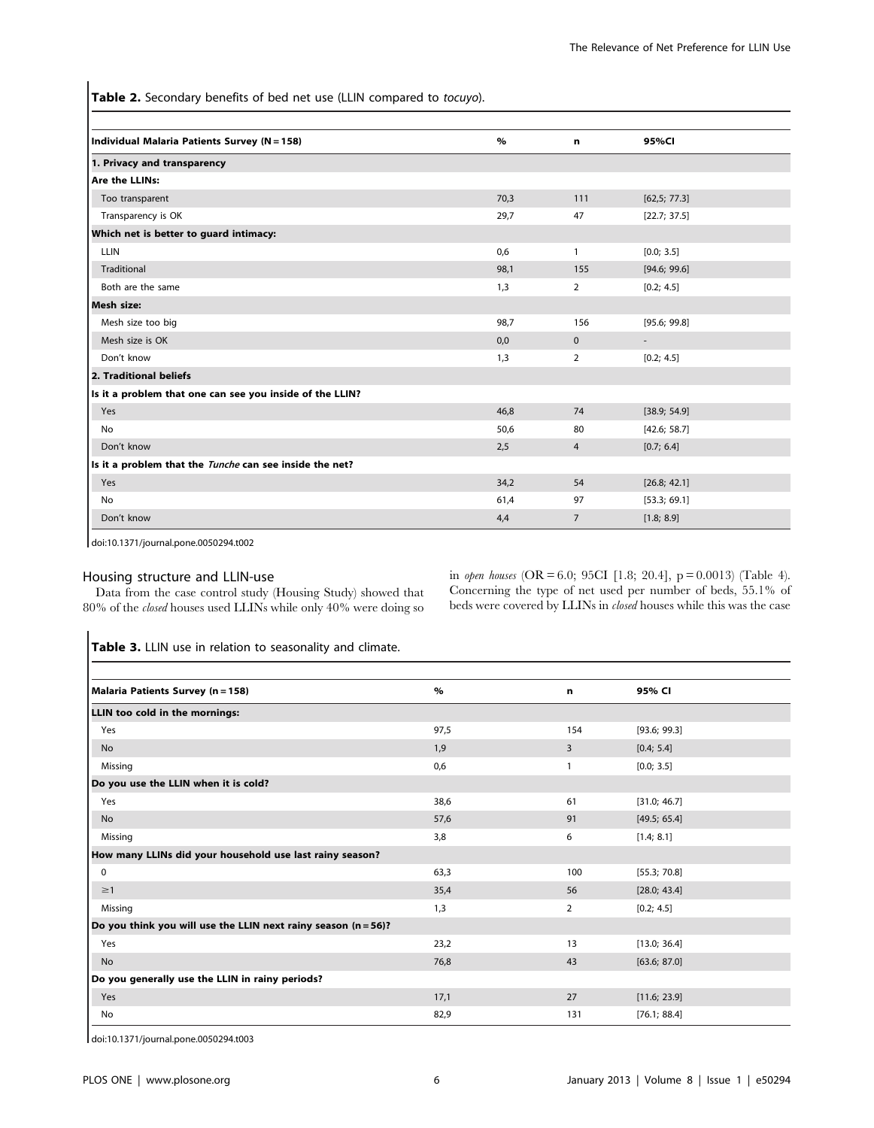Table 2. Secondary benefits of bed net use (LLIN compared to tocuyo).

| Individual Malaria Patients Survey (N = 158)             | $\%$ | n              | 95%CI                    |  |  |
|----------------------------------------------------------|------|----------------|--------------------------|--|--|
| 1. Privacy and transparency                              |      |                |                          |  |  |
| Are the LLINs:                                           |      |                |                          |  |  |
| Too transparent                                          | 70,3 | 111            | [62,5; 77.3]             |  |  |
| Transparency is OK                                       | 29,7 | 47             | [22.7; 37.5]             |  |  |
| Which net is better to guard intimacy:                   |      |                |                          |  |  |
| <b>LLIN</b>                                              | 0,6  | $\mathbf{1}$   | [0.0; 3.5]               |  |  |
| <b>Traditional</b>                                       | 98,1 | 155            | [94.6; 99.6]             |  |  |
| Both are the same                                        | 1,3  | 2              | [0.2; 4.5]               |  |  |
| Mesh size:                                               |      |                |                          |  |  |
| Mesh size too big                                        | 98,7 | 156            | [95.6; 99.8]             |  |  |
| Mesh size is OK                                          | 0,0  | $\mathbf{0}$   | $\overline{\phantom{a}}$ |  |  |
| Don't know                                               | 1,3  | 2              | [0.2; 4.5]               |  |  |
| 2. Traditional beliefs                                   |      |                |                          |  |  |
| Is it a problem that one can see you inside of the LLIN? |      |                |                          |  |  |
| Yes                                                      | 46,8 | 74             | [38.9; 54.9]             |  |  |
| <b>No</b>                                                | 50,6 | 80             | [42.6; 58.7]             |  |  |
| Don't know                                               | 2,5  | 4              | [0.7; 6.4]               |  |  |
| Is it a problem that the Tunche can see inside the net?  |      |                |                          |  |  |
| Yes                                                      | 34,2 | 54             | [26.8; 42.1]             |  |  |
| No                                                       | 61,4 | 97             | [53.3; 69.1]             |  |  |
| Don't know                                               | 4,4  | $\overline{7}$ | [1.8; 8.9]               |  |  |

doi:10.1371/journal.pone.0050294.t002

# Housing structure and LLIN-use

Data from the case control study (Housing Study) showed that 80% of the closed houses used LLINs while only 40% were doing so in open houses (OR = 6.0; 95CI [1.8; 20.4], p = 0.0013) (Table 4). Concerning the type of net used per number of beds, 55.1% of beds were covered by LLINs in closed houses while this was the case

Table 3. LLIN use in relation to seasonality and climate.

| Malaria Patients Survey (n = 158)                                 | $\%$ | n   | 95% CI       |  |  |
|-------------------------------------------------------------------|------|-----|--------------|--|--|
| LLIN too cold in the mornings:                                    |      |     |              |  |  |
| Yes                                                               | 97,5 | 154 | [93.6; 99.3] |  |  |
| No                                                                | 1,9  | 3   | [0.4; 5.4]   |  |  |
| Missing                                                           | 0,6  | 1   | [0.0; 3.5]   |  |  |
| Do you use the LLIN when it is cold?                              |      |     |              |  |  |
| Yes                                                               | 38,6 | 61  | [31.0; 46.7] |  |  |
| No                                                                | 57,6 | 91  | [49.5; 65.4] |  |  |
| Missing                                                           | 3,8  | 6   | [1.4; 8.1]   |  |  |
| How many LLINs did your household use last rainy season?          |      |     |              |  |  |
| 0                                                                 | 63,3 | 100 | [55.3; 70.8] |  |  |
| $\geq$ 1                                                          | 35,4 | 56  | [28.0; 43.4] |  |  |
| Missing                                                           | 1,3  | 2   | [0.2; 4.5]   |  |  |
| Do you think you will use the LLIN next rainy season $(n = 56)$ ? |      |     |              |  |  |
| Yes                                                               | 23,2 | 13  | [13.0; 36.4] |  |  |
| No                                                                | 76,8 | 43  | [63.6; 87.0] |  |  |
| Do you generally use the LLIN in rainy periods?                   |      |     |              |  |  |
| Yes                                                               | 17,1 | 27  | [11.6; 23.9] |  |  |
| No                                                                | 82,9 | 131 | [76.1; 88.4] |  |  |

doi:10.1371/journal.pone.0050294.t003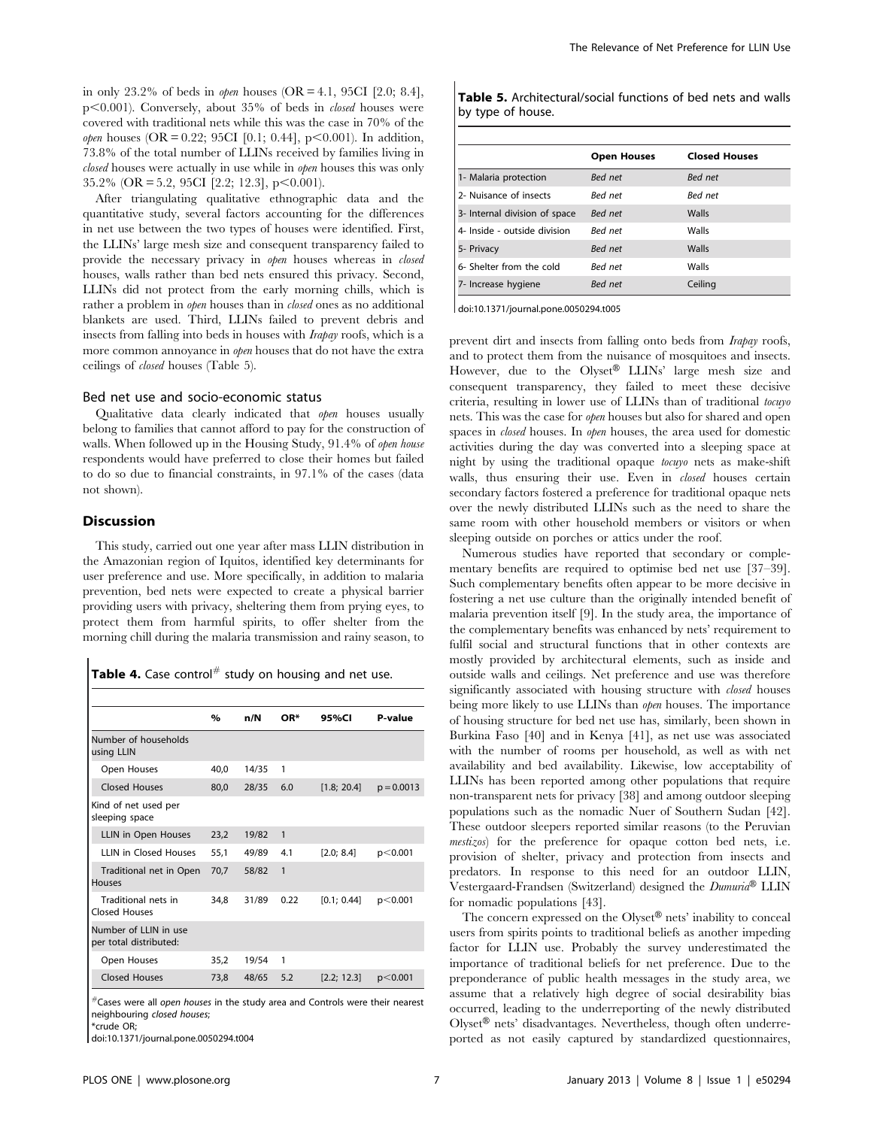in only 23.2% of beds in *open* houses  $(OR = 4.1, 95CI [2.0; 8.4],$  $p<0.001$ ). Conversely, about 35% of beds in *closed* houses were covered with traditional nets while this was the case in 70% of the *open* houses (OR = 0.22; 95CI [0.1; 0.44],  $p<0.001$ ). In addition, 73.8% of the total number of LLINs received by families living in closed houses were actually in use while in open houses this was only  $35.2\%$  (OR = 5.2, 95CI [2.2; 12.3], p<0.001).

After triangulating qualitative ethnographic data and the quantitative study, several factors accounting for the differences in net use between the two types of houses were identified. First, the LLINs' large mesh size and consequent transparency failed to provide the necessary privacy in *open* houses whereas in *closed* houses, walls rather than bed nets ensured this privacy. Second, LLINs did not protect from the early morning chills, which is rather a problem in *open* houses than in *closed* ones as no additional blankets are used. Third, LLINs failed to prevent debris and insects from falling into beds in houses with Irapay roofs, which is a more common annoyance in *open* houses that do not have the extra ceilings of closed houses (Table 5).

## Bed net use and socio-economic status

Qualitative data clearly indicated that *open* houses usually belong to families that cannot afford to pay for the construction of walls. When followed up in the Housing Study, 91.4% of open house respondents would have preferred to close their homes but failed to do so due to financial constraints, in 97.1% of the cases (data not shown).

## Discussion

This study, carried out one year after mass LLIN distribution in the Amazonian region of Iquitos, identified key determinants for user preference and use. More specifically, in addition to malaria prevention, bed nets were expected to create a physical barrier providing users with privacy, sheltering them from prying eyes, to protect them from harmful spirits, to offer shelter from the morning chill during the malaria transmission and rainy season, to

| Table 4. Case control# study on housing and net use. |  |  |  |  |
|------------------------------------------------------|--|--|--|--|
|------------------------------------------------------|--|--|--|--|

|                                                 | $\%$ | n/N   | OR*          | 95%CI       | P-value      |
|-------------------------------------------------|------|-------|--------------|-------------|--------------|
| Number of households<br>using LLIN              |      |       |              |             |              |
| Open Houses                                     | 40.0 | 14/35 | 1            |             |              |
| <b>Closed Houses</b>                            | 80,0 | 28/35 | 6.0          | [1.8; 20.4] | $p = 0.0013$ |
| Kind of net used per<br>sleeping space          |      |       |              |             |              |
| LLIN in Open Houses                             | 23,2 | 19/82 | $\mathbf{1}$ |             |              |
| <b>IIIN in Closed Houses</b>                    | 55,1 | 49/89 | 4.1          | [2.0; 8.4]  | p<0.001      |
| Traditional net in Open<br><b>Houses</b>        | 70.7 | 58/82 | 1            |             |              |
| Traditional nets in<br>Closed Houses            | 34.8 | 31/89 | 0.22         | [0.1: 0.44] | p<0.001      |
| Number of LLIN in use<br>per total distributed: |      |       |              |             |              |
| Open Houses                                     | 35,2 | 19/54 | 1            |             |              |
| <b>Closed Houses</b>                            | 73,8 | 48/65 | 5.2          | [2.2; 12.3] | p<0.001      |

 $*$ Cases were all open houses in the study area and Controls were their nearest neighbouring closed houses;

\*crude OR;

doi:10.1371/journal.pone.0050294.t004

| <b>Table 5.</b> Architectural/social functions of bed nets and walls |  |  |  |
|----------------------------------------------------------------------|--|--|--|
| by type of house.                                                    |  |  |  |

|                               | <b>Open Houses</b> | <b>Closed Houses</b> |
|-------------------------------|--------------------|----------------------|
| 1- Malaria protection         | Bed net            | Bed net              |
| 2- Nuisance of insects        | Bed net            | Bed net              |
| 3- Internal division of space | <b>Bed</b> net     | Walls                |
| 4- Inside - outside division  | <b>Bed</b> net     | Walls                |
| 5- Privacy                    | <b>Bed</b> net     | Walls                |
| 6- Shelter from the cold      | Bed net            | Walls                |
| 7- Increase hygiene           | <b>Bed</b> net     | Ceiling              |

doi:10.1371/journal.pone.0050294.t005

prevent dirt and insects from falling onto beds from Irapay roofs, and to protect them from the nuisance of mosquitoes and insects. However, due to the Olyset® LLINs' large mesh size and consequent transparency, they failed to meet these decisive criteria, resulting in lower use of LLINs than of traditional tocuyo nets. This was the case for open houses but also for shared and open spaces in closed houses. In open houses, the area used for domestic activities during the day was converted into a sleeping space at night by using the traditional opaque tocuyo nets as make-shift walls, thus ensuring their use. Even in *closed* houses certain secondary factors fostered a preference for traditional opaque nets over the newly distributed LLINs such as the need to share the same room with other household members or visitors or when sleeping outside on porches or attics under the roof.

Numerous studies have reported that secondary or complementary benefits are required to optimise bed net use [37–39]. Such complementary benefits often appear to be more decisive in fostering a net use culture than the originally intended benefit of malaria prevention itself [9]. In the study area, the importance of the complementary benefits was enhanced by nets' requirement to fulfil social and structural functions that in other contexts are mostly provided by architectural elements, such as inside and outside walls and ceilings. Net preference and use was therefore significantly associated with housing structure with *closed* houses being more likely to use LLINs than *open* houses. The importance of housing structure for bed net use has, similarly, been shown in Burkina Faso [40] and in Kenya [41], as net use was associated with the number of rooms per household, as well as with net availability and bed availability. Likewise, low acceptability of LLINs has been reported among other populations that require non-transparent nets for privacy [38] and among outdoor sleeping populations such as the nomadic Nuer of Southern Sudan [42]. These outdoor sleepers reported similar reasons (to the Peruvian mestizos) for the preference for opaque cotton bed nets, i.e. provision of shelter, privacy and protection from insects and predators. In response to this need for an outdoor LLIN, Vestergaard-Frandsen (Switzerland) designed the Dumuria® LLIN for nomadic populations [43].

The concern expressed on the Olyset® nets' inability to conceal users from spirits points to traditional beliefs as another impeding factor for LLIN use. Probably the survey underestimated the importance of traditional beliefs for net preference. Due to the preponderance of public health messages in the study area, we assume that a relatively high degree of social desirability bias occurred, leading to the underreporting of the newly distributed  $Olyset^{\circledR}$  nets' disadvantages. Nevertheless, though often underreported as not easily captured by standardized questionnaires,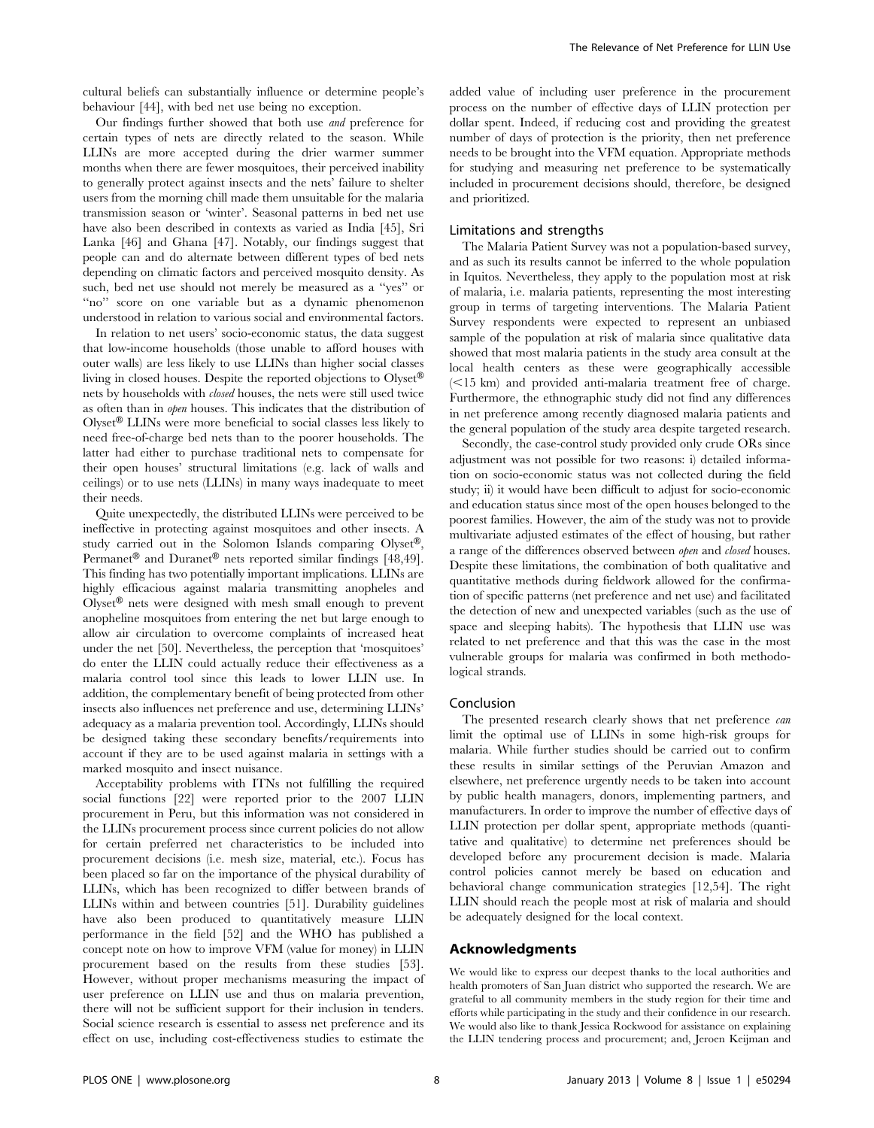cultural beliefs can substantially influence or determine people's behaviour [44], with bed net use being no exception.

Our findings further showed that both use and preference for certain types of nets are directly related to the season. While LLINs are more accepted during the drier warmer summer months when there are fewer mosquitoes, their perceived inability to generally protect against insects and the nets' failure to shelter users from the morning chill made them unsuitable for the malaria transmission season or 'winter'. Seasonal patterns in bed net use have also been described in contexts as varied as India [45], Sri Lanka [46] and Ghana [47]. Notably, our findings suggest that people can and do alternate between different types of bed nets depending on climatic factors and perceived mosquito density. As such, bed net use should not merely be measured as a ''yes'' or "no" score on one variable but as a dynamic phenomenon understood in relation to various social and environmental factors.

In relation to net users' socio-economic status, the data suggest that low-income households (those unable to afford houses with outer walls) are less likely to use LLINs than higher social classes living in closed houses. Despite the reported objections to  $O$ lyset<sup>®</sup> nets by households with closed houses, the nets were still used twice as often than in open houses. This indicates that the distribution of  $O$ lyset<sup>®</sup> LLINs were more beneficial to social classes less likely to need free-of-charge bed nets than to the poorer households. The latter had either to purchase traditional nets to compensate for their open houses' structural limitations (e.g. lack of walls and ceilings) or to use nets (LLINs) in many ways inadequate to meet their needs.

Quite unexpectedly, the distributed LLINs were perceived to be ineffective in protecting against mosquitoes and other insects. A study carried out in the Solomon Islands comparing Olyset®, Permanet<sup>®</sup> and Duranet<sup>®</sup> nets reported similar findings [48,49]. This finding has two potentially important implications. LLINs are highly efficacious against malaria transmitting anopheles and Olyset<sup>®</sup> nets were designed with mesh small enough to prevent anopheline mosquitoes from entering the net but large enough to allow air circulation to overcome complaints of increased heat under the net [50]. Nevertheless, the perception that 'mosquitoes' do enter the LLIN could actually reduce their effectiveness as a malaria control tool since this leads to lower LLIN use. In addition, the complementary benefit of being protected from other insects also influences net preference and use, determining LLINs' adequacy as a malaria prevention tool. Accordingly, LLINs should be designed taking these secondary benefits/requirements into account if they are to be used against malaria in settings with a marked mosquito and insect nuisance.

Acceptability problems with ITNs not fulfilling the required social functions [22] were reported prior to the 2007 LLIN procurement in Peru, but this information was not considered in the LLINs procurement process since current policies do not allow for certain preferred net characteristics to be included into procurement decisions (i.e. mesh size, material, etc.). Focus has been placed so far on the importance of the physical durability of LLINs, which has been recognized to differ between brands of LLINs within and between countries [51]. Durability guidelines have also been produced to quantitatively measure LLIN performance in the field [52] and the WHO has published a concept note on how to improve VFM (value for money) in LLIN procurement based on the results from these studies [53]. However, without proper mechanisms measuring the impact of user preference on LLIN use and thus on malaria prevention, there will not be sufficient support for their inclusion in tenders. Social science research is essential to assess net preference and its effect on use, including cost-effectiveness studies to estimate the

added value of including user preference in the procurement process on the number of effective days of LLIN protection per dollar spent. Indeed, if reducing cost and providing the greatest number of days of protection is the priority, then net preference needs to be brought into the VFM equation. Appropriate methods for studying and measuring net preference to be systematically included in procurement decisions should, therefore, be designed and prioritized.

#### Limitations and strengths

The Malaria Patient Survey was not a population-based survey, and as such its results cannot be inferred to the whole population in Iquitos. Nevertheless, they apply to the population most at risk of malaria, i.e. malaria patients, representing the most interesting group in terms of targeting interventions. The Malaria Patient Survey respondents were expected to represent an unbiased sample of the population at risk of malaria since qualitative data showed that most malaria patients in the study area consult at the local health centers as these were geographically accessible  $(<15$  km) and provided anti-malaria treatment free of charge. Furthermore, the ethnographic study did not find any differences in net preference among recently diagnosed malaria patients and the general population of the study area despite targeted research.

Secondly, the case-control study provided only crude ORs since adjustment was not possible for two reasons: i) detailed information on socio-economic status was not collected during the field study; ii) it would have been difficult to adjust for socio-economic and education status since most of the open houses belonged to the poorest families. However, the aim of the study was not to provide multivariate adjusted estimates of the effect of housing, but rather a range of the differences observed between open and closed houses. Despite these limitations, the combination of both qualitative and quantitative methods during fieldwork allowed for the confirmation of specific patterns (net preference and net use) and facilitated the detection of new and unexpected variables (such as the use of space and sleeping habits). The hypothesis that LLIN use was related to net preference and that this was the case in the most vulnerable groups for malaria was confirmed in both methodological strands.

#### Conclusion

The presented research clearly shows that net preference *can* limit the optimal use of LLINs in some high-risk groups for malaria. While further studies should be carried out to confirm these results in similar settings of the Peruvian Amazon and elsewhere, net preference urgently needs to be taken into account by public health managers, donors, implementing partners, and manufacturers. In order to improve the number of effective days of LLIN protection per dollar spent, appropriate methods (quantitative and qualitative) to determine net preferences should be developed before any procurement decision is made. Malaria control policies cannot merely be based on education and behavioral change communication strategies [12,54]. The right LLIN should reach the people most at risk of malaria and should be adequately designed for the local context.

# Acknowledgments

We would like to express our deepest thanks to the local authorities and health promoters of San Juan district who supported the research. We are grateful to all community members in the study region for their time and efforts while participating in the study and their confidence in our research. We would also like to thank Jessica Rockwood for assistance on explaining the LLIN tendering process and procurement; and, Jeroen Keijman and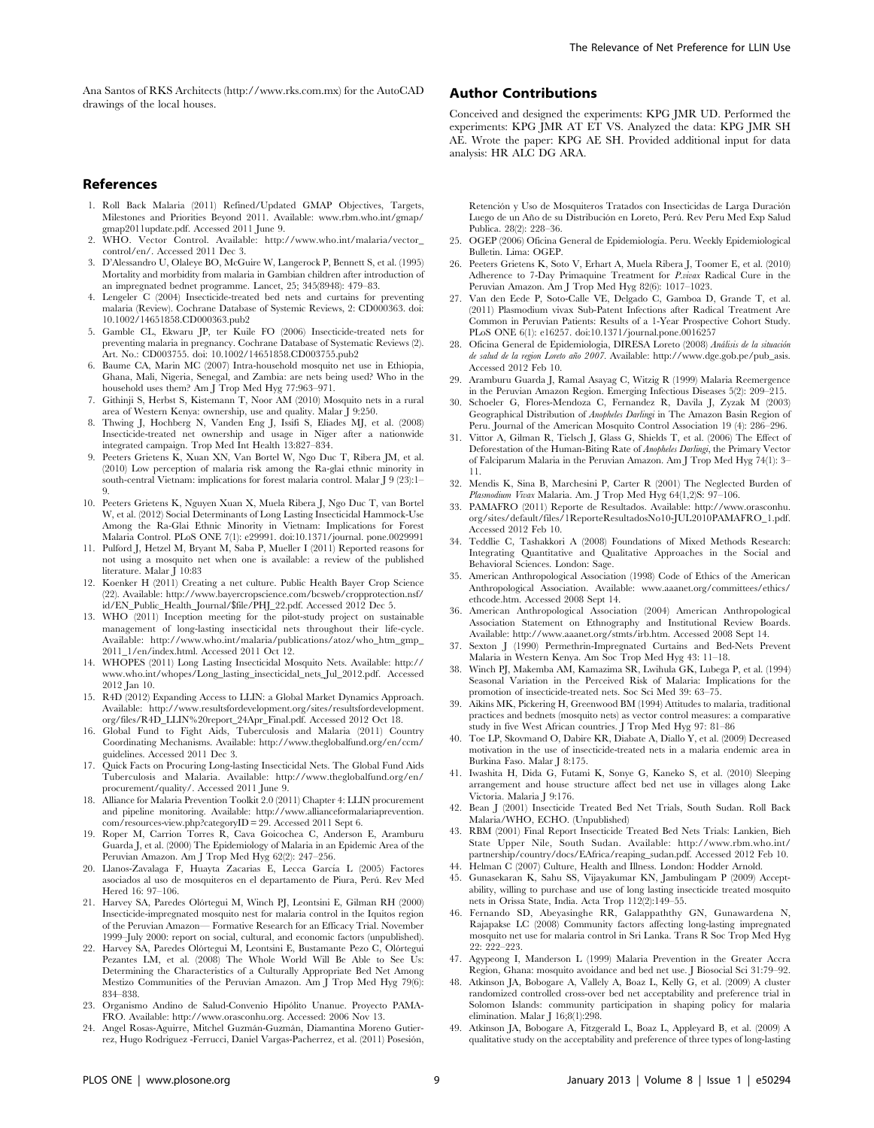Ana Santos of RKS Architects (http://www.rks.com.mx) for the AutoCAD drawings of the local houses.

# References

- 1. Roll Back Malaria (2011) Refined/Updated GMAP Objectives, Targets, Milestones and Priorities Beyond 2011. Available: www.rbm.who.int/gmap/ gmap2011update.pdf. Accessed 2011 June 9.
- 2. WHO. Vector Control. Available: http://www.who.int/malaria/vector\_ control/en/. Accessed 2011 Dec 3.
- 3. D'Alessandro U, Olaleye BO, McGuire W, Langerock P, Bennett S, et al. (1995) Mortality and morbidity from malaria in Gambian children after introduction of an impregnated bednet programme. Lancet, 25; 345(8948): 479–83.
- 4. Lengeler C (2004) Insecticide-treated bed nets and curtains for preventing malaria (Review). Cochrane Database of Systemic Reviews, 2: CD000363. doi: 10.1002/14651858.CD000363.pub2
- 5. Gamble CL, Ekwaru JP, ter Kuile FO (2006) Insecticide-treated nets for preventing malaria in pregnancy. Cochrane Database of Systematic Reviews (2). Art. No.: CD003755. doi: 10.1002/14651858.CD003755.pub2
- 6. Baume CA, Marin MC (2007) Intra-household mosquito net use in Ethiopia, Ghana, Mali, Nigeria, Senegal, and Zambia: are nets being used? Who in the household uses them? Am J Trop Med Hyg 77:963–971.
- 7. Githinji S, Herbst S, Kistemann T, Noor AM (2010) Mosquito nets in a rural area of Western Kenya: ownership, use and quality. Malar J 9:250.
- 8. Thwing J, Hochberg N, Vanden Eng J, Issifi S, Eliades MJ, et al. (2008) Insecticide-treated net ownership and usage in Niger after a nationwide integrated campaign. Trop Med Int Health 13:827–834.
- 9. Peeters Grietens K, Xuan XN, Van Bortel W, Ngo Duc T, Ribera JM, et al. (2010) Low perception of malaria risk among the Ra-glai ethnic minority in south-central Vietnam: implications for forest malaria control. Malar J 9 (23):1– 9.
- 10. Peeters Grietens K, Nguyen Xuan X, Muela Ribera J, Ngo Duc T, van Bortel W, et al. (2012) Social Determinants of Long Lasting Insecticidal Hammock-Use Among the Ra-Glai Ethnic Minority in Vietnam: Implications for Forest Malaria Control. PLoS ONE 7(1): e29991. doi:10.1371/journal. pone.0029991
- 11. Pulford J, Hetzel M, Bryant M, Saba P, Mueller I (2011) Reported reasons for not using a mosquito net when one is available: a review of the published literature. Malar  $\overline{1}$  10:83
- 12. Koenker H (2011) Creating a net culture. Public Health Bayer Crop Science (22). Available: http://www.bayercropscience.com/bcsweb/cropprotection.nsf/ id/EN\_Public\_Health\_Journal/\$file/PHJ\_22.pdf. Accessed 2012 Dec 5.
- 13. WHO (2011) Inception meeting for the pilot-study project on sustainable management of long-lasting insecticidal nets throughout their life-cycle. Available: http://www.who.int/malaria/publications/atoz/who\_htm\_gmp\_ 2011 1/en/index.html. Accessed 2011 Oct 12.
- 14. WHOPES (2011) Long Lasting Insecticidal Mosquito Nets. Available: http:// www.who.int/whopes/Long\_lasting\_insecticidal\_nets\_Jul\_2012.pdf. Accessed 2012 Jan 10.
- 15. R4D (2012) Expanding Access to LLIN: a Global Market Dynamics Approach. Available: http://www.resultsfordevelopment.org/sites/resultsfordevelopment. org/files/R4D\_LLIN%20report\_24Apr\_Final.pdf. Accessed 2012 Oct 18.
- 16. Global Fund to Fight Aids, Tuberculosis and Malaria (2011) Country Coordinating Mechanisms. Available: http://www.theglobalfund.org/en/ccm/ guidelines. Accessed 2011 Dec 3.
- 17. Quick Facts on Procuring Long-lasting Insecticidal Nets. The Global Fund Aids Tuberculosis and Malaria. Available: http://www.theglobalfund.org/en/ procurement/quality/. Accessed 2011 June 9.
- 18. Alliance for Malaria Prevention Toolkit 2.0 (2011) Chapter 4: LLIN procurement and pipeline monitoring. Available: http://www.allianceformalariaprevention. com/resources-view.php?categoryID = 29. Accessed 2011 Sept 6.
- 19. Roper M, Carrion Torres R, Cava Goicochea C, Anderson E, Aramburu Guarda J, et al. (2000) The Epidemiology of Malaria in an Epidemic Area of the Peruvian Amazon. Am J Trop Med Hyg 62(2): 247–256.
- 20. Llanos-Zavalaga F, Huayta Zacarias E, Lecca García L (2005) Factores asociados al uso de mosquiteros en el departamento de Piura, Peru´. Rev Med Hered 16: 97–106.
- 21. Harvey SA, Paredes Olórtegui M, Winch PJ, Leontsini E, Gilman RH (2000) Insecticide-impregnated mosquito nest for malaria control in the Iquitos region of the Peruvian Amazon— Formative Research for an Efficacy Trial. November 1999–July 2000: report on social, cultural, and economic factors (unpublished).
- 22. Harvey SA, Paredes Olórtegui M, Leontsini E, Bustamante Pezo C, Olórtegui Pezantes LM, et al. (2008) The Whole World Will Be Able to See Us: Determining the Characteristics of a Culturally Appropriate Bed Net Among Mestizo Communities of the Peruvian Amazon. Am J Trop Med Hyg 79(6): 834–838.
- 23. Organismo Andino de Salud-Convenio Hipólito Unanue. Proyecto PAMA-FRO. Available: http://www.orasconhu.org. Accessed: 2006 Nov 13.
- 24. Angel Rosas-Aguirre, Mitchel Guzmán-Guzmán, Diamantina Moreno Gutierrez, Hugo Rodriguez -Ferrucci, Daniel Vargas-Pacherrez, et al. (2011) Posesión,

# Author Contributions

Conceived and designed the experiments: KPG JMR UD. Performed the experiments: KPG JMR AT ET VS. Analyzed the data: KPG JMR SH AE. Wrote the paper: KPG AE SH. Provided additional input for data analysis: HR ALC DG ARA.

Retención y Uso de Mosquiteros Tratados con Insecticidas de Larga Duración Luego de un Año de su Distribución en Loreto, Perú. Rev Peru Med Exp Salud Publica. 28(2): 228–36.

- 25. OGEP (2006) Oficina General de Epidemiología. Peru. Weekly Epidemiological Bulletin. Lima: OGEP.
- 26. Peeters Grietens K, Soto V, Erhart A, Muela Ribera J, Toomer E, et al. (2010) Adherence to 7-Day Primaquine Treatment for P.vivax Radical Cure in the Peruvian Amazon. Am J Trop Med Hyg 82(6): 1017–1023.
- 27. Van den Eede P, Soto-Calle VE, Delgado C, Gamboa D, Grande T, et al. (2011) Plasmodium vivax Sub-Patent Infections after Radical Treatment Are Common in Peruvian Patients: Results of a 1-Year Prospective Cohort Study. PLoS ONE 6(1): e16257. doi:10.1371/journal.pone.0016257
- 28. Oficina General de Epidemiologia, DIRESA Loreto (2008) Análisis de la situación de salud de la region Loreto año 2007. Available: http://www.dge.gob.pe/pub\_asis. Accessed 2012 Feb 10.
- 29. Aramburu Guarda J, Ramal Asayag C, Witzig R (1999) Malaria Reemergence in the Peruvian Amazon Region. Emerging Infectious Diseases 5(2): 209–215.
- 30. Schoeler G, Flores-Mendoza C, Fernandez R, Davila J, Zyzak M (2003) Geographical Distribution of Anopheles Darlingi in The Amazon Basin Region of Peru. Journal of the American Mosquito Control Association 19 (4): 286–296.
- 31. Vittor A, Gilman R, Tielsch J, Glass G, Shields T, et al. (2006) The Effect of Deforestation of the Human-Biting Rate of Anopheles Darlingi, the Primary Vector of Falciparum Malaria in the Peruvian Amazon. Am J Trop Med Hyg 74(1): 3– 11.
- 32. Mendis K, Sina B, Marchesini P, Carter R (2001) The Neglected Burden of Plasmodium Vivax Malaria. Am. J Trop Med Hyg 64(1,2)S: 97–106.
- 33. PAMAFRO (2011) Reporte de Resultados. Available: http://www.orasconhu. org/sites/default/files/1ReporteResultadosNo10-JUL2010PAMAFRO\_1.pdf. Accessed 2012 Feb 10.
- 34. Teddlie C, Tashakkori A (2008) Foundations of Mixed Methods Research: Integrating Quantitative and Qualitative Approaches in the Social and Behavioral Sciences. London: Sage.
- 35. American Anthropological Association (1998) Code of Ethics of the American Anthropological Association. Available: www.aaanet.org/committees/ethics/ ethcode.htm. Accessed 2008 Sept 14.
- 36. American Anthropological Association (2004) American Anthropological Association Statement on Ethnography and Institutional Review Boards. Available: http://www.aaanet.org/stmts/irb.htm. Accessed 2008 Sept 14.
- 37. Sexton J (1990) Permethrin-Impregnated Curtains and Bed-Nets Prevent Malaria in Western Kenya. Am Soc Trop Med Hyg 43: 11–18.
- 38. Winch PJ, Makemba AM, Kamazima SR, Lwihula GK, Lubega P, et al. (1994) Seasonal Variation in the Perceived Risk of Malaria: Implications for the promotion of insecticide-treated nets. Soc Sci Med 39: 63–75.
- 39. Aikins MK, Pickering H, Greenwood BM (1994) Attitudes to malaria, traditional practices and bednets (mosquito nets) as vector control measures: a comparative study in five West African countries. J Trop Med Hyg 97: 81–86
- 40. Toe LP, Skovmand O, Dabire KR, Diabate A, Diallo Y, et al. (2009) Decreased motivation in the use of insecticide-treated nets in a malaria endemic area in Burkina Faso. Malar J 8:175.
- 41. Iwashita H, Dida G, Futami K, Sonye G, Kaneko S, et al. (2010) Sleeping arrangement and house structure affect bed net use in villages along Lake Victoria. Malaria J 9:176.
- 42. Bean J (2001) Insecticide Treated Bed Net Trials, South Sudan. Roll Back Malaria/WHO, ECHO. (Unpublished)
- 43. RBM (2001) Final Report Insecticide Treated Bed Nets Trials: Lankien, Bieh State Upper Nile, South Sudan. Available: http://www.rbm.who.int/ partnership/country/docs/EAfrica/reaping\_sudan.pdf. Accessed 2012 Feb 10.
- 44. Helman C (2007) Culture, Health and Illness. London: Hodder Arnold.
- 45. Gunasekaran K, Sahu SS, Vijayakumar KN, Jambulingam P (2009) Acceptability, willing to purchase and use of long lasting insecticide treated mosquito nets in Orissa State, India. Acta Trop 112(2):149–55.
- 46. Fernando SD, Abeyasinghe RR, Galappaththy GN, Gunawardena N, Rajapakse LC (2008) Community factors affecting long-lasting impregnated mosquito net use for malaria control in Sri Lanka. Trans R Soc Trop Med Hyg 22: 222–223.
- 47. Agypeong I, Manderson L (1999) Malaria Prevention in the Greater Accra Region, Ghana: mosquito avoidance and bed net use. J Biosocial Sci 31:79–92.
- 48. Atkinson JA, Bobogare A, Vallely A, Boaz L, Kelly G, et al. (2009) A cluster randomized controlled cross-over bed net acceptability and preference trial in Solomon Islands: community participation in shaping policy for malaria elimination. Malar J 16;8(1):298.
- 49. Atkinson JA, Bobogare A, Fitzgerald L, Boaz L, Appleyard B, et al. (2009) A qualitative study on the acceptability and preference of three types of long-lasting